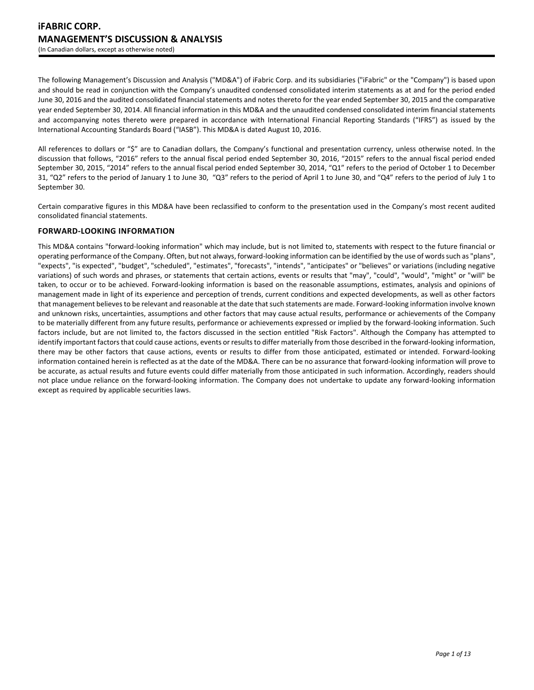The following Management's Discussion and Analysis ("MD&A") of iFabric Corp. and its subsidiaries ("iFabric" or the "Company") is based upon and should be read in conjunction with the Company's unaudited condensed consolidated interim statements as at and for the period ended June 30, 2016 and the audited consolidated financial statements and notes thereto for the year ended September 30, 2015 and the comparative year ended September 30, 2014. All financial information in this MD&A and the unaudited condensed consolidated interim financial statements and accompanying notes thereto were prepared in accordance with International Financial Reporting Standards ("IFRS") as issued by the International Accounting Standards Board ("IASB"). This MD&A is dated August 10, 2016.

All references to dollars or "\$" are to Canadian dollars, the Company's functional and presentation currency, unless otherwise noted. In the discussion that follows, "2016" refers to the annual fiscal period ended September 30, 2016, "2015" refers to the annual fiscal period ended September 30, 2015, "2014" refers to the annual fiscal period ended September 30, 2014, "Q1" refers to the period of October 1 to December 31, "Q2" refers to the period of January 1 to June 30, "Q3" refers to the period of April 1 to June 30, and "Q4" refers to the period of July 1 to September 30.

Certain comparative figures in this MD&A have been reclassified to conform to the presentation used in the Company's most recent audited consolidated financial statements.

# **FORWARD-LOOKING INFORMATION**

This MD&A contains "forward-looking information" which may include, but is not limited to, statements with respect to the future financial or operating performance of the Company. Often, but not always, forward-looking information can be identified by the use of words such as "plans", "expects", "is expected", "budget", "scheduled", "estimates", "forecasts", "intends", "anticipates" or "believes" or variations (including negative variations) of such words and phrases, or statements that certain actions, events or results that "may", "could", "would", "might" or "will" be taken, to occur or to be achieved. Forward-looking information is based on the reasonable assumptions, estimates, analysis and opinions of management made in light of its experience and perception of trends, current conditions and expected developments, as well as other factors that management believes to be relevant and reasonable at the date that such statements are made. Forward-looking information involve known and unknown risks, uncertainties, assumptions and other factors that may cause actual results, performance or achievements of the Company to be materially different from any future results, performance or achievements expressed or implied by the forward-looking information. Such factors include, but are not limited to, the factors discussed in the section entitled "Risk Factors". Although the Company has attempted to identify important factors that could cause actions, events or results to differ materially from those described in the forward-looking information, there may be other factors that cause actions, events or results to differ from those anticipated, estimated or intended. Forward-looking information contained herein is reflected as at the date of the MD&A. There can be no assurance that forward-looking information will prove to be accurate, as actual results and future events could differ materially from those anticipated in such information. Accordingly, readers should not place undue reliance on the forward-looking information. The Company does not undertake to update any forward-looking information except as required by applicable securities laws.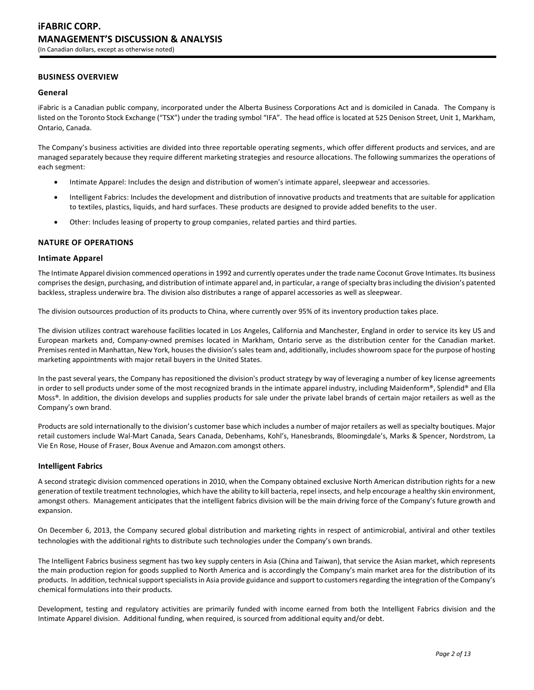# **BUSINESS OVERVIEW**

### **General**

iFabric is a Canadian public company, incorporated under the Alberta Business Corporations Act and is domiciled in Canada. The Company is listed on the Toronto Stock Exchange ("TSX") under the trading symbol "IFA". The head office is located at 525 Denison Street, Unit 1, Markham, Ontario, Canada.

The Company's business activities are divided into three reportable operating segments, which offer different products and services, and are managed separately because they require different marketing strategies and resource allocations. The following summarizes the operations of each segment:

- Intimate Apparel: Includes the design and distribution of women's intimate apparel, sleepwear and accessories.
- Intelligent Fabrics: Includes the development and distribution of innovative products and treatments that are suitable for application to textiles, plastics, liquids, and hard surfaces. These products are designed to provide added benefits to the user.
- Other: Includes leasing of property to group companies, related parties and third parties.

#### **NATURE OF OPERATIONS**

### **Intimate Apparel**

The Intimate Apparel division commenced operations in 1992 and currently operates under the trade name Coconut Grove Intimates. Its business comprises the design, purchasing, and distribution of intimate apparel and, in particular, a range of specialty bras including the division's patented backless, strapless underwire bra. The division also distributes a range of apparel accessories as well as sleepwear.

The division outsources production of its products to China, where currently over 95% of its inventory production takes place.

The division utilizes contract warehouse facilities located in Los Angeles, California and Manchester, England in order to service its key US and European markets and, Company-owned premises located in Markham, Ontario serve as the distribution center for the Canadian market. Premises rented in Manhattan, New York, houses the division's sales team and, additionally, includes showroom space for the purpose of hosting marketing appointments with major retail buyers in the United States.

In the past several years, the Company has repositioned the division's product strategy by way of leveraging a number of key license agreements in order to sell products under some of the most recognized brands in the intimate apparel industry, including Maidenform®, Splendid® and Ella Moss®. In addition, the division develops and supplies products for sale under the private label brands of certain major retailers as well as the Company's own brand.

Products are sold internationally to the division's customer base which includes a number of major retailers as well as specialty boutiques. Major retail customers include Wal-Mart Canada, Sears Canada, Debenhams, Kohl's, Hanesbrands, Bloomingdale's, Marks & Spencer, Nordstrom, La Vie En Rose, House of Fraser, Boux Avenue and Amazon.com amongst others.

#### **Intelligent Fabrics**

A second strategic division commenced operations in 2010, when the Company obtained exclusive North American distribution rights for a new generation of textile treatment technologies, which have the ability to kill bacteria, repel insects, and help encourage a healthy skin environment, amongst others. Management anticipates that the intelligent fabrics division will be the main driving force of the Company's future growth and expansion.

On December 6, 2013, the Company secured global distribution and marketing rights in respect of antimicrobial, antiviral and other textiles technologies with the additional rights to distribute such technologies under the Company's own brands.

The Intelligent Fabrics business segment has two key supply centers in Asia (China and Taiwan), that service the Asian market, which represents the main production region for goods supplied to North America and is accordingly the Company's main market area for the distribution of its products. In addition, technical support specialists in Asia provide guidance and support to customers regarding the integration of the Company's chemical formulations into their products.

Development, testing and regulatory activities are primarily funded with income earned from both the Intelligent Fabrics division and the Intimate Apparel division. Additional funding, when required, is sourced from additional equity and/or debt.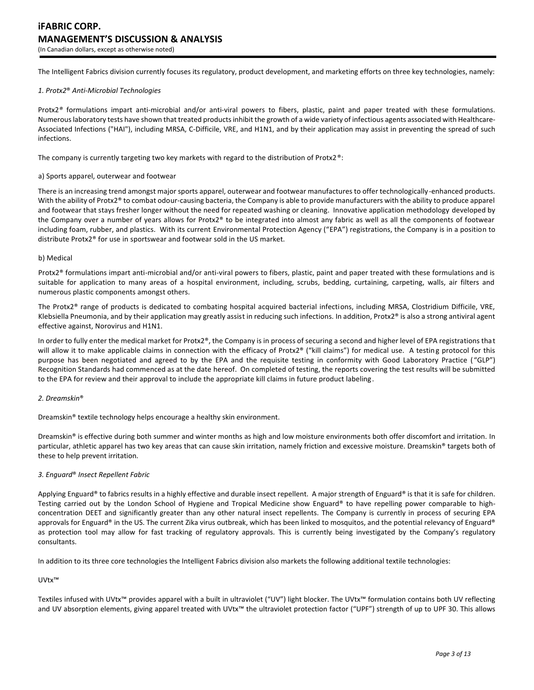The Intelligent Fabrics division currently focuses its regulatory, product development, and marketing efforts on three key technologies, namely:

#### *1. Protx2*® *Anti-Microbial Technologies*

Protx2*®* formulations impart anti-microbial and/or anti-viral powers to fibers, plastic, paint and paper treated with these formulations. Numerous laboratory tests have shown that treated products inhibit the growth of a wide variety of infectious agents associated with Healthcare-Associated Infections ("HAI"), including MRSA, C-Difficile, VRE, and H1N1, and by their application may assist in preventing the spread of such infections.

The company is currently targeting two key markets with regard to the distribution of Protx2®:

#### a) Sports apparel, outerwear and footwear

There is an increasing trend amongst major sports apparel, outerwear and footwear manufactures to offer technologically-enhanced products. With the ability of Protx2® to combat odour-causing bacteria, the Company is able to provide manufacturers with the ability to produce apparel and footwear that stays fresher longer without the need for repeated washing or cleaning. Innovative application methodology developed by the Company over a number of years allows for Protx2® to be integrated into almost any fabric as well as all the components of footwear including foam, rubber, and plastics. With its current Environmental Protection Agency ("EPA") registrations, the Company is in a position to distribute Protx2® for use in sportswear and footwear sold in the US market.

#### b) Medical

Protx2® formulations impart anti-microbial and/or anti-viral powers to fibers, plastic, paint and paper treated with these formulations and is suitable for application to many areas of a hospital environment, including, scrubs, bedding, curtaining, carpeting, walls, air filters and numerous plastic components amongst others.

The Protx2® range of products is dedicated to combating hospital acquired bacterial infections, including MRSA, Clostridium Difficile, VRE, Klebsiella Pneumonia, and by their application may greatly assist in reducing such infections. In addition, Protx2® is also a strong antiviral agent effective against, Norovirus and H1N1.

In order to fully enter the medical market for Protx2®, the Company is in process of securing a second and higher level of EPA registrations that will allow it to make applicable claims in connection with the efficacy of Protx2® ("kill claims") for medical use. A testing protocol for this purpose has been negotiated and agreed to by the EPA and the requisite testing in conformity with Good Laboratory Practice ("GLP") Recognition Standards had commenced as at the date hereof. On completed of testing, the reports covering the test results will be submitted to the EPA for review and their approval to include the appropriate kill claims in future product labeling.

### *2. Dreamskin*®

Dreamskin® textile technology helps encourage a healthy skin environment.

Dreamskin® is effective during both summer and winter months as high and low moisture environments both offer discomfort and irritation. In particular, athletic apparel has two key areas that can cause skin irritation, namely friction and excessive moisture. Dreamskin® targets both of these to help prevent irritation.

#### *3. Enguard*® *Insect Repellent Fabric*

Applying Enguard® to fabrics results in a highly effective and durable insect repellent. A major strength of Enguard® is that it is safe for children. Testing carried out by the London School of Hygiene and Tropical Medicine show Enguard® to have repelling power comparable to highconcentration DEET and significantly greater than any other natural insect repellents. The Company is currently in process of securing EPA approvals for Enguard® in the US. The current Zika virus outbreak, which has been linked to mosquitos, and the potential relevancy of Enguard® as protection tool may allow for fast tracking of regulatory approvals. This is currently being investigated by the Company's regulatory consultants.

In addition to its three core technologies the Intelligent Fabrics division also markets the following additional textile technologies:

# UVtx™

Textiles infused with UVtx™ provides apparel with a built in ultraviolet ("UV") light blocker. The UVtx™ formulation contains both UV reflecting and UV absorption elements, giving apparel treated with UVtx™ the ultraviolet protection factor ("UPF") strength of up to UPF 30. This allows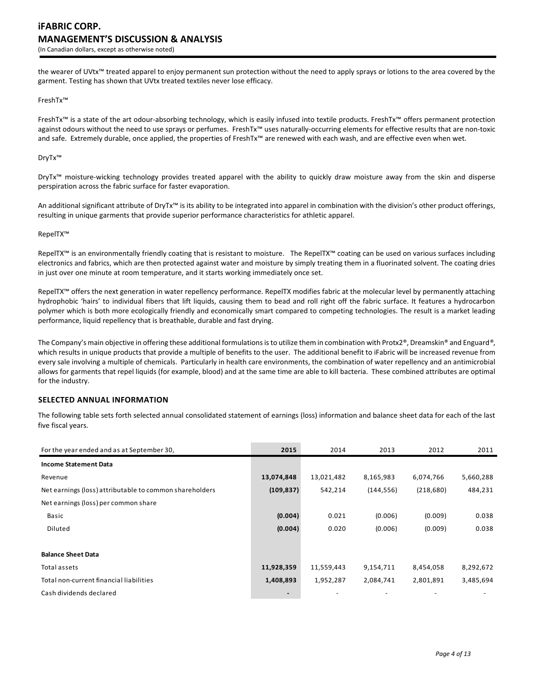the wearer of UVtx™ treated apparel to enjoy permanent sun protection without the need to apply sprays or lotions to the area covered by the garment. Testing has shown that UVtx treated textiles never lose efficacy.

# FreshTx™

FreshTx™ is a state of the art odour-absorbing technology, which is easily infused into textile products. FreshTx™ offers permanent protection against odours without the need to use sprays or perfumes. FreshTx™ uses naturally-occurring elements for effective results that are non-toxic and safe. Extremely durable, once applied, the properties of FreshTx™ are renewed with each wash, and are effective even when wet.

## DryTx™

DryTx<sup>™</sup> moisture-wicking technology provides treated apparel with the ability to quickly draw moisture away from the skin and disperse perspiration across the fabric surface for faster evaporation.

An additional significant attribute of DryTx™ is its ability to be integrated into apparel in combination with the division's other product offerings, resulting in unique garments that provide superior performance characteristics for athletic apparel.

#### RepelTX™

RepelTX™ is an environmentally friendly coating that is resistant to moisture. The RepelTX™ coating can be used on various surfaces including electronics and fabrics, which are then protected against water and moisture by simply treating them in a fluorinated solvent. The coating dries in just over one minute at room temperature, and it starts working immediately once set.

RepelTX™ offers the next generation in water repellency performance. RepelTX modifies fabric at the molecular level by permanently attaching hydrophobic 'hairs' to individual fibers that lift liquids, causing them to bead and roll right off the fabric surface. It features a hydrocarbon polymer which is both more ecologically friendly and economically smart compared to competing technologies. The result is a market leading performance, liquid repellency that is breathable, durable and fast drying.

The Company's main objective in offering these additional formulations is to utilize them in combination with Protx2®, Dreamskin® and Enguard*®*, which results in unique products that provide a multiple of benefits to the user. The additional benefit to iFabric will be increased revenue from every sale involving a multiple of chemicals. Particularly in health care environments, the combination of water repellency and an antimicrobial allows for garments that repel liquids (for example, blood) and at the same time are able to kill bacteria. These combined attributes are optimal for the industry.

# **SELECTED ANNUAL INFORMATION**

The following table sets forth selected annual consolidated statement of earnings (loss) information and balance sheet data for each of the last five fiscal years.

| For the year ended and as at September 30,              | 2015                     | 2014       | 2013       | 2012       | 2011      |
|---------------------------------------------------------|--------------------------|------------|------------|------------|-----------|
| <b>Income Statement Data</b>                            |                          |            |            |            |           |
| Revenue                                                 | 13,074,848               | 13,021,482 | 8,165,983  | 6,074,766  | 5,660,288 |
| Net earnings (loss) attributable to common shareholders | (109, 837)               | 542,214    | (144, 556) | (218, 680) | 484,231   |
| Net earnings (loss) per common share                    |                          |            |            |            |           |
| Basic                                                   | (0.004)                  | 0.021      | (0.006)    | (0.009)    | 0.038     |
| Diluted                                                 | (0.004)                  | 0.020      | (0.006)    | (0.009)    | 0.038     |
|                                                         |                          |            |            |            |           |
| <b>Balance Sheet Data</b>                               |                          |            |            |            |           |
| Total assets                                            | 11,928,359               | 11,559,443 | 9,154,711  | 8,454,058  | 8,292,672 |
| Total non-current financial liabilities                 | 1,408,893                | 1,952,287  | 2,084,741  | 2,801,891  | 3,485,694 |
| Cash dividends declared                                 | $\overline{\phantom{0}}$ |            |            |            |           |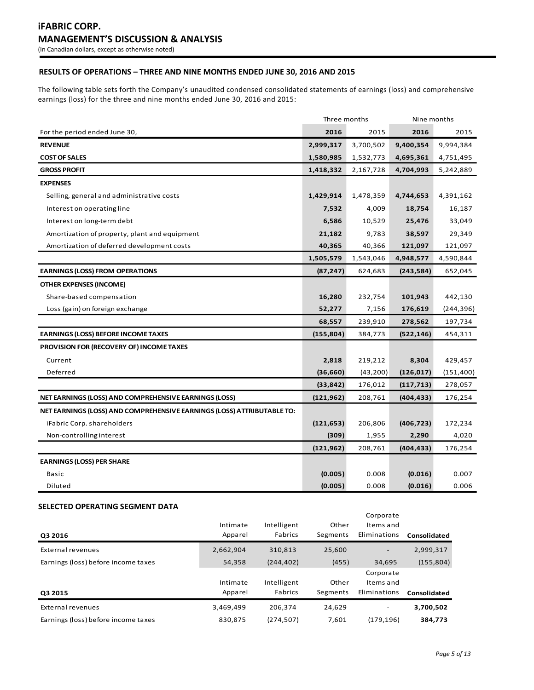# **RESULTS OF OPERATIONS – THREE AND NINE MONTHS ENDED JUNE 30, 2016 AND 2015**

The following table sets forth the Company's unaudited condensed consolidated statements of earnings (loss) and comprehensive earnings (loss) for the three and nine months ended June 30, 2016 and 2015:

|                                                                        | Three months |           | Nine months |            |
|------------------------------------------------------------------------|--------------|-----------|-------------|------------|
| For the period ended June 30,                                          | 2016         | 2015      | 2016        | 2015       |
| <b>REVENUE</b>                                                         | 2,999,317    | 3,700,502 | 9,400,354   | 9,994,384  |
| <b>COST OF SALES</b>                                                   | 1,580,985    | 1,532,773 | 4,695,361   | 4,751,495  |
| <b>GROSS PROFIT</b>                                                    | 1,418,332    | 2,167,728 | 4,704,993   | 5,242,889  |
| <b>EXPENSES</b>                                                        |              |           |             |            |
| Selling, general and administrative costs                              | 1,429,914    | 1,478,359 | 4,744,653   | 4,391,162  |
| Interest on operating line                                             | 7,532        | 4,009     | 18,754      | 16,187     |
| Interest on long-term debt                                             | 6,586        | 10,529    | 25,476      | 33,049     |
| Amortization of property, plant and equipment                          | 21,182       | 9,783     | 38,597      | 29,349     |
| Amortization of deferred development costs                             | 40,365       | 40,366    | 121,097     | 121,097    |
|                                                                        | 1,505,579    | 1,543,046 | 4,948,577   | 4,590,844  |
| <b>EARNINGS (LOSS) FROM OPERATIONS</b>                                 | (87, 247)    | 624,683   | (243, 584)  | 652,045    |
| <b>OTHER EXPENSES (INCOME)</b>                                         |              |           |             |            |
| Share-based compensation                                               | 16,280       | 232,754   | 101,943     | 442,130    |
| Loss (gain) on foreign exchange                                        | 52,277       | 7,156     | 176,619     | (244, 396) |
|                                                                        | 68,557       | 239,910   | 278,562     | 197,734    |
| <b>EARNINGS (LOSS) BEFORE INCOME TAXES</b>                             | (155, 804)   | 384,773   | (522, 146)  | 454,311    |
| PROVISION FOR (RECOVERY OF) INCOME TAXES                               |              |           |             |            |
| Current                                                                | 2,818        | 219,212   | 8,304       | 429,457    |
| Deferred                                                               | (36, 660)    | (43, 200) | (126, 017)  | (151, 400) |
|                                                                        | (33, 842)    | 176,012   | (117, 713)  | 278,057    |
| NET EARNINGS (LOSS) AND COMPREHENSIVE EARNINGS (LOSS)                  | (121, 962)   | 208,761   | (404, 433)  | 176,254    |
| NET EARNINGS (LOSS) AND COMPREHENSIVE EARNINGS (LOSS) ATTRIBUTABLE TO: |              |           |             |            |
| iFabric Corp. shareholders                                             | (121, 653)   | 206,806   | (406, 723)  | 172,234    |
| Non-controlling interest                                               | (309)        | 1,955     | 2,290       | 4,020      |
|                                                                        | (121, 962)   | 208,761   | (404, 433)  | 176,254    |
| <b>EARNINGS (LOSS) PER SHARE</b>                                       |              |           |             |            |
| Basic                                                                  | (0.005)      | 0.008     | (0.016)     | 0.007      |
| Diluted                                                                | (0.005)      | 0.008     | (0.016)     | 0.006      |

# **SELECTED OPERATING SEGMENT DATA**

| Q3 2016                             | Intimate<br>Apparel | Intelligent<br>Fabrics | Other<br>Segments | Corporate<br>Items and<br>Eliminations | Consolidated |
|-------------------------------------|---------------------|------------------------|-------------------|----------------------------------------|--------------|
| External revenues                   | 2,662,904           | 310.813                | 25.600            | -                                      | 2,999,317    |
| Earnings (loss) before income taxes | 54,358              | (244, 402)             | (455)             | 34,695                                 | (155, 804)   |
| Q3 2015                             | Intimate<br>Apparel | Intelligent<br>Fabrics | Other<br>Segments | Corporate<br>Items and<br>Eliminations | Consolidated |
| External revenues                   | 3,469,499           | 206.374                | 24,629            |                                        | 3,700,502    |
| Earnings (loss) before income taxes | 830,875             | (274, 507)             | 7,601             | (179, 196)                             | 384,773      |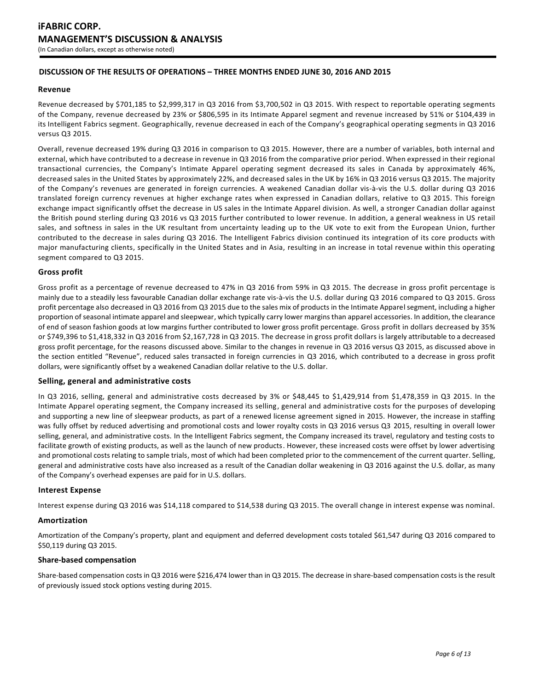# **DISCUSSION OF THE RESULTS OF OPERATIONS – THREE MONTHS ENDED JUNE 30, 2016 AND 2015**

### **Revenue**

Revenue decreased by \$701,185 to \$2,999,317 in Q3 2016 from \$3,700,502 in Q3 2015. With respect to reportable operating segments of the Company, revenue decreased by 23% or \$806,595 in its Intimate Apparel segment and revenue increased by 51% or \$104,439 in its Intelligent Fabrics segment. Geographically, revenue decreased in each of the Company's geographical operating segments in Q3 2016 versus Q3 2015.

Overall, revenue decreased 19% during Q3 2016 in comparison to Q3 2015. However, there are a number of variables, both internal and external, which have contributed to a decrease in revenue in Q3 2016 from the comparative prior period. When expressed in their regional transactional currencies, the Company's Intimate Apparel operating segment decreased its sales in Canada by approximately 46%, decreased sales in the United States by approximately 22%, and decreased sales in the UK by 16% in Q3 2016 versus Q3 2015. The majority of the Company's revenues are generated in foreign currencies. A weakened Canadian dollar vis-à-vis the U.S. dollar during Q3 2016 translated foreign currency revenues at higher exchange rates when expressed in Canadian dollars, relative to Q3 2015. This foreign exchange impact significantly offset the decrease in US sales in the Intimate Apparel division. As well, a stronger Canadian dollar against the British pound sterling during Q3 2016 vs Q3 2015 further contributed to lower revenue. In addition, a general weakness in US retail sales, and softness in sales in the UK resultant from uncertainty leading up to the UK vote to exit from the European Union, further contributed to the decrease in sales during Q3 2016. The Intelligent Fabrics division continued its integration of its core products with major manufacturing clients, specifically in the United States and in Asia, resulting in an increase in total revenue within this operating segment compared to Q3 2015.

## **Gross profit**

Gross profit as a percentage of revenue decreased to 47% in Q3 2016 from 59% in Q3 2015. The decrease in gross profit percentage is mainly due to a steadily less favourable Canadian dollar exchange rate vis-à-vis the U.S. dollar during Q3 2016 compared to Q3 2015. Gross profit percentage also decreased in Q3 2016 from Q3 2015 due to the sales mix of products in the Intimate Apparel segment, including a higher proportion of seasonal intimate apparel and sleepwear, which typically carry lower margins than apparel accessories. In addition, the clearance of end of season fashion goods at low margins further contributed to lower gross profit percentage. Gross profit in dollars decreased by 35% or \$749,396 to \$1,418,332 in Q3 2016 from \$2,167,728 in Q3 2015. The decrease in gross profit dollars is largely attributable to a decreased gross profit percentage, for the reasons discussed above. Similar to the changes in revenue in Q3 2016 versus Q3 2015, as discussed above in the section entitled "Revenue", reduced sales transacted in foreign currencies in Q3 2016, which contributed to a decrease in gross profit dollars, were significantly offset by a weakened Canadian dollar relative to the U.S. dollar.

#### **Selling, general and administrative costs**

In Q3 2016, selling, general and administrative costs decreased by 3% or \$48,445 to \$1,429,914 from \$1,478,359 in Q3 2015. In the Intimate Apparel operating segment, the Company increased its selling, general and administrative costs for the purposes of developing and supporting a new line of sleepwear products, as part of a renewed license agreement signed in 2015. However, the increase in staffing was fully offset by reduced advertising and promotional costs and lower royalty costs in Q3 2016 versus Q3 2015, resulting in overall lower selling, general, and administrative costs. In the Intelligent Fabrics segment, the Company increased its travel, regulatory and testing costs to facilitate growth of existing products, as well as the launch of new products. However, these increased costs were offset by lower advertising and promotional costs relating to sample trials, most of which had been completed prior to the commencement of the current quarter. Selling, general and administrative costs have also increased as a result of the Canadian dollar weakening in Q3 2016 against the U.S. dollar, as many of the Company's overhead expenses are paid for in U.S. dollars.

#### **Interest Expense**

Interest expense during Q3 2016 was \$14,118 compared to \$14,538 during Q3 2015. The overall change in interest expense was nominal.

#### **Amortization**

Amortization of the Company's property, plant and equipment and deferred development costs totaled \$61,547 during Q3 2016 compared to \$50,119 during Q3 2015.

#### **Share-based compensation**

Share-based compensation costs in Q3 2016 were \$216,474 lower than in Q3 2015. The decrease in share-based compensation costs is the result of previously issued stock options vesting during 2015.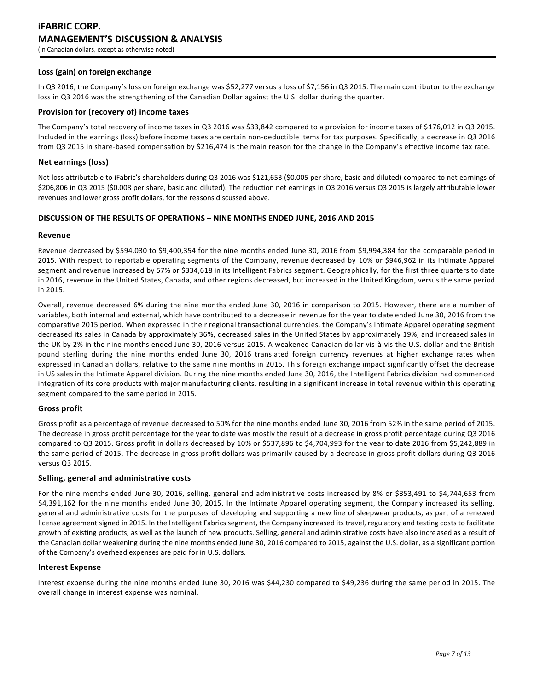# **iFABRIC CORP. MANAGEMENT'S DISCUSSION & ANALYSIS** (In Canadian dollars, except as otherwise noted)

## **Loss (gain) on foreign exchange**

In Q3 2016, the Company's loss on foreign exchange was \$52,277 versus a loss of \$7,156 in Q3 2015. The main contributor to the exchange loss in Q3 2016 was the strengthening of the Canadian Dollar against the U.S. dollar during the quarter.

### **Provision for (recovery of) income taxes**

The Company's total recovery of income taxes in Q3 2016 was \$33,842 compared to a provision for income taxes of \$176,012 in Q3 2015. Included in the earnings (loss) before income taxes are certain non-deductible items for tax purposes. Specifically, a decrease in Q3 2016 from Q3 2015 in share-based compensation by \$216,474 is the main reason for the change in the Company's effective income tax rate.

## **Net earnings (loss)**

Net loss attributable to iFabric's shareholders during Q3 2016 was \$121,653 (\$0.005 per share, basic and diluted) compared to net earnings of \$206,806 in Q3 2015 (\$0.008 per share, basic and diluted). The reduction net earnings in Q3 2016 versus Q3 2015 is largely attributable lower revenues and lower gross profit dollars, for the reasons discussed above.

# **DISCUSSION OF THE RESULTS OF OPERATIONS – NINE MONTHS ENDED JUNE, 2016 AND 2015**

#### **Revenue**

Revenue decreased by \$594,030 to \$9,400,354 for the nine months ended June 30, 2016 from \$9,994,384 for the comparable period in 2015. With respect to reportable operating segments of the Company, revenue decreased by 10% or \$946,962 in its Intimate Apparel segment and revenue increased by 57% or \$334,618 in its Intelligent Fabrics segment. Geographically, for the first three quarters to date in 2016, revenue in the United States, Canada, and other regions decreased, but increased in the United Kingdom, versus the same period in 2015.

Overall, revenue decreased 6% during the nine months ended June 30, 2016 in comparison to 2015. However, there are a number of variables, both internal and external, which have contributed to a decrease in revenue for the year to date ended June 30, 2016 from the comparative 2015 period. When expressed in their regional transactional currencies, the Company's Intimate Apparel operating segment decreased its sales in Canada by approximately 36%, decreased sales in the United States by approximately 19%, and increased sales in the UK by 2% in the nine months ended June 30, 2016 versus 2015. A weakened Canadian dollar vis-à-vis the U.S. dollar and the British pound sterling during the nine months ended June 30, 2016 translated foreign currency revenues at higher exchange rates when expressed in Canadian dollars, relative to the same nine months in 2015. This foreign exchange impact significantly offset the decrease in US sales in the Intimate Apparel division. During the nine months ended June 30, 2016, the Intelligent Fabrics division had commenced integration of its core products with major manufacturing clients, resulting in a significant increase in total revenue within th is operating segment compared to the same period in 2015.

# **Gross profit**

Gross profit as a percentage of revenue decreased to 50% for the nine months ended June 30, 2016 from 52% in the same period of 2015. The decrease in gross profit percentage for the year to date was mostly the result of a decrease in gross profit percentage during Q3 2016 compared to Q3 2015. Gross profit in dollars decreased by 10% or \$537,896 to \$4,704,993 for the year to date 2016 from \$5,242,889 in the same period of 2015. The decrease in gross profit dollars was primarily caused by a decrease in gross profit dollars during Q3 2016 versus Q3 2015.

## **Selling, general and administrative costs**

For the nine months ended June 30, 2016, selling, general and administrative costs increased by 8% or \$353,491 to \$4,744,653 from \$4,391,162 for the nine months ended June 30, 2015. In the Intimate Apparel operating segment, the Company increased its selling, general and administrative costs for the purposes of developing and supporting a new line of sleepwear products, as part of a renewed license agreement signed in 2015. In the Intelligent Fabrics segment, the Company increased its travel, regulatory and testing costs to facilitate growth of existing products, as well as the launch of new products. Selling, general and administrative costs have also incre ased as a result of the Canadian dollar weakening during the nine months ended June 30, 2016 compared to 2015, against the U.S. dollar, as a significant portion of the Company's overhead expenses are paid for in U.S. dollars.

#### **Interest Expense**

Interest expense during the nine months ended June 30, 2016 was \$44,230 compared to \$49,236 during the same period in 2015. The overall change in interest expense was nominal.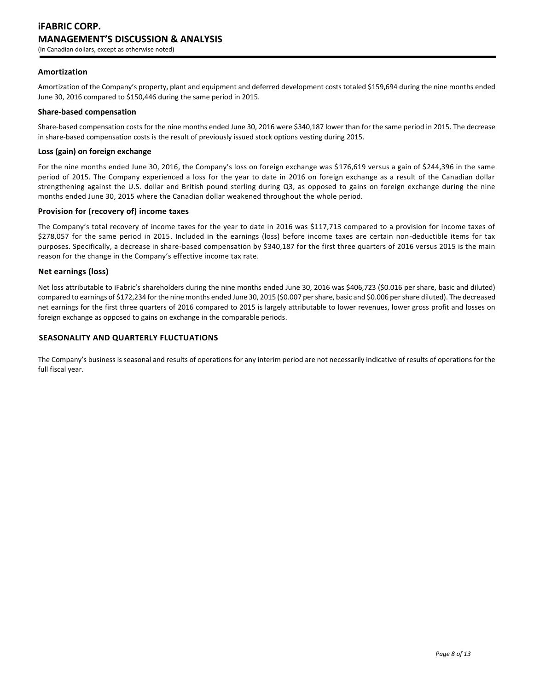## **Amortization**

Amortization of the Company's property, plant and equipment and deferred development costs totaled \$159,694 during the nine months ended June 30, 2016 compared to \$150,446 during the same period in 2015.

#### **Share-based compensation**

Share-based compensation costs for the nine months ended June 30, 2016 were \$340,187 lower than for the same period in 2015. The decrease in share-based compensation costs is the result of previously issued stock options vesting during 2015.

### **Loss (gain) on foreign exchange**

For the nine months ended June 30, 2016, the Company's loss on foreign exchange was \$176,619 versus a gain of \$244,396 in the same period of 2015. The Company experienced a loss for the year to date in 2016 on foreign exchange as a result of the Canadian dollar strengthening against the U.S. dollar and British pound sterling during Q3, as opposed to gains on foreign exchange during the nine months ended June 30, 2015 where the Canadian dollar weakened throughout the whole period.

### **Provision for (recovery of) income taxes**

The Company's total recovery of income taxes for the year to date in 2016 was \$117,713 compared to a provision for income taxes of \$278,057 for the same period in 2015. Included in the earnings (loss) before income taxes are certain non-deductible items for tax purposes. Specifically, a decrease in share-based compensation by \$340,187 for the first three quarters of 2016 versus 2015 is the main reason for the change in the Company's effective income tax rate.

## **Net earnings (loss)**

Net loss attributable to iFabric's shareholders during the nine months ended June 30, 2016 was \$406,723 (\$0.016 per share, basic and diluted) compared to earnings of \$172,234 for the nine months ended June 30, 2015 (\$0.007 per share, basic and \$0.006 per share diluted). The decreased net earnings for the first three quarters of 2016 compared to 2015 is largely attributable to lower revenues, lower gross profit and losses on foreign exchange as opposed to gains on exchange in the comparable periods.

#### **SEASONALITY AND QUARTERLY FLUCTUATIONS**

The Company's business is seasonal and results of operations for any interim period are not necessarily indicative of results of operations for the full fiscal year.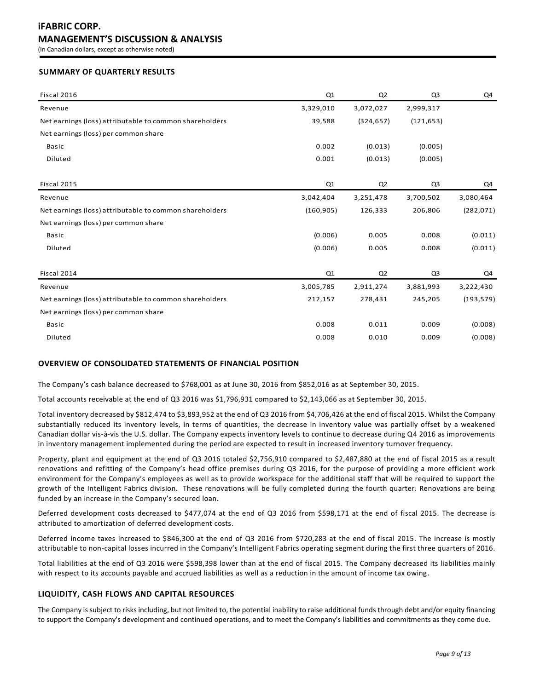# **SUMMARY OF QUARTERLY RESULTS**

| Fiscal 2016                                             | Q1         | Q2             | Q <sub>3</sub> | Q4         |
|---------------------------------------------------------|------------|----------------|----------------|------------|
| Revenue                                                 | 3,329,010  | 3,072,027      | 2,999,317      |            |
| Net earnings (loss) attributable to common shareholders | 39,588     | (324, 657)     | (121, 653)     |            |
| Net earnings (loss) per common share                    |            |                |                |            |
| <b>Basic</b>                                            | 0.002      | (0.013)        | (0.005)        |            |
| Diluted                                                 | 0.001      | (0.013)        | (0.005)        |            |
|                                                         |            |                |                |            |
| Fiscal 2015                                             | Q1         | Q <sub>2</sub> | Q3             | Q4         |
| Revenue                                                 | 3,042,404  | 3,251,478      | 3,700,502      | 3,080,464  |
| Net earnings (loss) attributable to common shareholders | (160, 905) | 126,333        | 206,806        | (282, 071) |
| Net earnings (loss) per common share                    |            |                |                |            |
| <b>Basic</b>                                            | (0.006)    | 0.005          | 0.008          | (0.011)    |
| Diluted                                                 | (0.006)    | 0.005          | 0.008          | (0.011)    |
|                                                         |            |                |                |            |
| Fiscal 2014                                             | Q1         | Q <sub>2</sub> | Q3             | Q4         |
| Revenue                                                 | 3,005,785  | 2,911,274      | 3,881,993      | 3,222,430  |
| Net earnings (loss) attributable to common shareholders | 212,157    | 278,431        | 245,205        | (193, 579) |
| Net earnings (loss) per common share                    |            |                |                |            |
| Basic                                                   | 0.008      | 0.011          | 0.009          | (0.008)    |
| Diluted                                                 | 0.008      | 0.010          | 0.009          | (0.008)    |

# **OVERVIEW OF CONSOLIDATED STATEMENTS OF FINANCIAL POSITION**

The Company's cash balance decreased to \$768,001 as at June 30, 2016 from \$852,016 as at September 30, 2015.

Total accounts receivable at the end of Q3 2016 was \$1,796,931 compared to \$2,143,066 as at September 30, 2015.

Total inventory decreased by \$812,474 to \$3,893,952 at the end of Q3 2016 from \$4,706,426 at the end of fiscal 2015. Whilst the Company substantially reduced its inventory levels, in terms of quantities, the decrease in inventory value was partially offset by a weakened Canadian dollar vis-à-vis the U.S. dollar. The Company expects inventory levels to continue to decrease during Q4 2016 as improvements in inventory management implemented during the period are expected to result in increased inventory turnover frequency.

Property, plant and equipment at the end of Q3 2016 totaled \$2,756,910 compared to \$2,487,880 at the end of fiscal 2015 as a result renovations and refitting of the Company's head office premises during Q3 2016, for the purpose of providing a more efficient work environment for the Company's employees as well as to provide workspace for the additional staff that will be required to support the growth of the Intelligent Fabrics division. These renovations will be fully completed during the fourth quarter. Renovations are being funded by an increase in the Company's secured loan.

Deferred development costs decreased to \$477,074 at the end of Q3 2016 from \$598,171 at the end of fiscal 2015. The decrease is attributed to amortization of deferred development costs.

Deferred income taxes increased to \$846,300 at the end of Q3 2016 from \$720,283 at the end of fiscal 2015. The increase is mostly attributable to non-capital losses incurred in the Company's Intelligent Fabrics operating segment during the first three quarters of 2016.

Total liabilities at the end of Q3 2016 were \$598,398 lower than at the end of fiscal 2015. The Company decreased its liabilities mainly with respect to its accounts payable and accrued liabilities as well as a reduction in the amount of income tax owing.

# **LIQUIDITY, CASH FLOWS AND CAPITAL RESOURCES**

The Company is subject to risks including, but not limited to, the potential inability to raise additional funds through debt and/or equity financing to support the Company's development and continued operations, and to meet the Company's liabilities and commitments as they come due.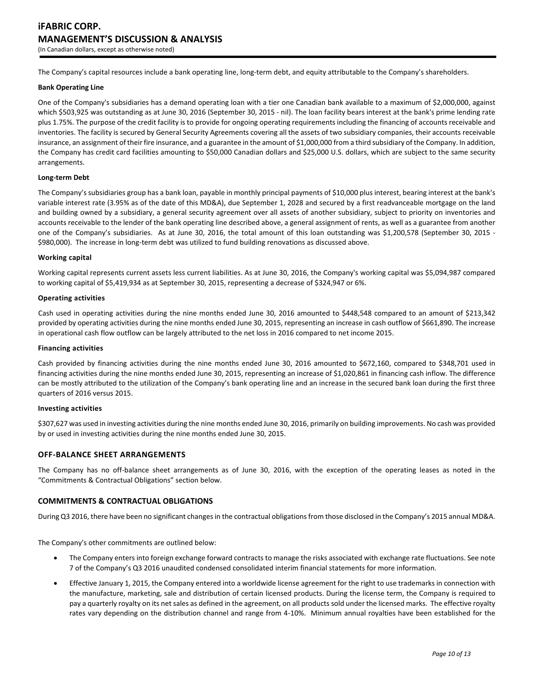The Company's capital resources include a bank operating line, long-term debt, and equity attributable to the Company's shareholders.

#### **Bank Operating Line**

One of the Company's subsidiaries has a demand operating loan with a tier one Canadian bank available to a maximum of \$2,000,000, against which \$503,925 was outstanding as at June 30, 2016 (September 30, 2015 - nil). The loan facility bears interest at the bank's prime lending rate plus 1.75%. The purpose of the credit facility is to provide for ongoing operating requirements including the financing of accounts receivable and inventories. The facility is secured by General Security Agreements covering all the assets of two subsidiary companies, their accounts receivable insurance, an assignment of their fire insurance, and a guarantee in the amount of \$1,000,000 from a third subsidiary of the Company. In addition, the Company has credit card facilities amounting to \$50,000 Canadian dollars and \$25,000 U.S. dollars, which are subject to the same security arrangements.

#### **Long-term Debt**

The Company's subsidiaries group has a bank loan, payable in monthly principal payments of \$10,000 plus interest, bearing interest at the bank's variable interest rate (3.95% as of the date of this MD&A), due September 1, 2028 and secured by a first readvanceable mortgage on the land and building owned by a subsidiary, a general security agreement over all assets of another subsidiary, subject to priority on inventories and accounts receivable to the lender of the bank operating line described above, a general assignment of rents, as well as a guarantee from another one of the Company's subsidiaries. As at June 30, 2016, the total amount of this loan outstanding was \$1,200,578 (September 30, 2015 - \$980,000). The increase in long-term debt was utilized to fund building renovations as discussed above.

#### **Working capital**

Working capital represents current assets less current liabilities. As at June 30, 2016, the Company's working capital was \$5,094,987 compared to working capital of \$5,419,934 as at September 30, 2015, representing a decrease of \$324,947 or 6%.

#### **Operating activities**

Cash used in operating activities during the nine months ended June 30, 2016 amounted to \$448,548 compared to an amount of \$213,342 provided by operating activities during the nine months ended June 30, 2015, representing an increase in cash outflow of \$661,890. The increase in operational cash flow outflow can be largely attributed to the net loss in 2016 compared to net income 2015.

#### **Financing activities**

Cash provided by financing activities during the nine months ended June 30, 2016 amounted to \$672,160, compared to \$348,701 used in financing activities during the nine months ended June 30, 2015, representing an increase of \$1,020,861 in financing cash inflow. The difference can be mostly attributed to the utilization of the Company's bank operating line and an increase in the secured bank loan during the first three quarters of 2016 versus 2015.

#### **Investing activities**

\$307,627 was used in investing activities during the nine months ended June 30, 2016, primarily on building improvements. No cash was provided by or used in investing activities during the nine months ended June 30, 2015.

#### **OFF-BALANCE SHEET ARRANGEMENTS**

The Company has no off-balance sheet arrangements as of June 30, 2016, with the exception of the operating leases as noted in the "Commitments & Contractual Obligations" section below.

#### **COMMITMENTS & CONTRACTUAL OBLIGATIONS**

During Q3 2016, there have been no significant changes in the contractual obligations from those disclosed in the Company's 2015 annual MD&A.

The Company's other commitments are outlined below:

- The Company enters into foreign exchange forward contracts to manage the risks associated with exchange rate fluctuations. See note 7 of the Company's Q3 2016 unaudited condensed consolidated interim financial statements for more information.
- Effective January 1, 2015, the Company entered into a worldwide license agreement for the right to use trademarks in connection with the manufacture, marketing, sale and distribution of certain licensed products. During the license term, the Company is required to pay a quarterly royalty on its net sales as defined in the agreement, on all products sold under the licensed marks. The effective royalty rates vary depending on the distribution channel and range from 4-10%. Minimum annual royalties have been established for the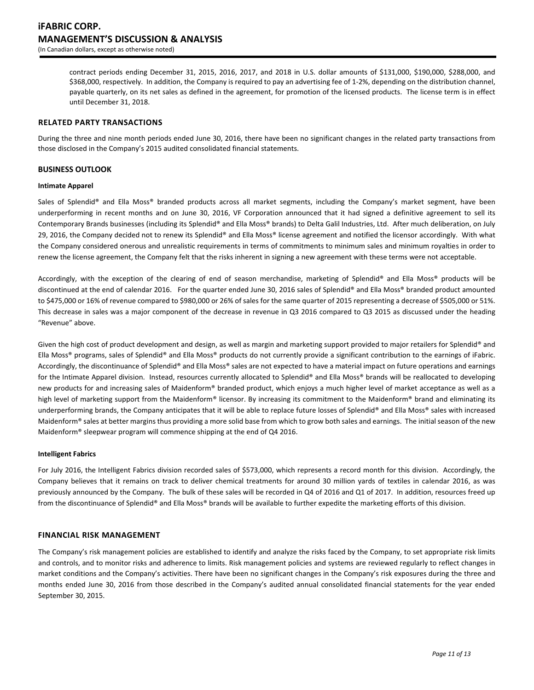contract periods ending December 31, 2015, 2016, 2017, and 2018 in U.S. dollar amounts of \$131,000, \$190,000, \$288,000, and \$368,000, respectively. In addition, the Company is required to pay an advertising fee of 1-2%, depending on the distribution channel, payable quarterly, on its net sales as defined in the agreement, for promotion of the licensed products. The license term is in effect until December 31, 2018.

## **RELATED PARTY TRANSACTIONS**

During the three and nine month periods ended June 30, 2016, there have been no significant changes in the related party transactions from those disclosed in the Company's 2015 audited consolidated financial statements.

### **BUSINESS OUTLOOK**

#### **Intimate Apparel**

Sales of Splendid® and Ella Moss® branded products across all market segments, including the Company's market segment, have been underperforming in recent months and on June 30, 2016, VF Corporation announced that it had signed a definitive agreement to sell its Contemporary Brands businesses (including its Splendid® and Ella Moss® brands) to Delta Galil Industries, Ltd. After much deliberation, on July 29, 2016, the Company decided not to renew its Splendid® and Ella Moss® license agreement and notified the licensor accordingly. With what the Company considered onerous and unrealistic requirements in terms of commitments to minimum sales and minimum royalties in order to renew the license agreement, the Company felt that the risks inherent in signing a new agreement with these terms were not acceptable.

Accordingly, with the exception of the clearing of end of season merchandise, marketing of Splendid® and Ella Moss® products will be discontinued at the end of calendar 2016. For the quarter ended June 30, 2016 sales of Splendid® and Ella Moss® branded product amounted to \$475,000 or 16% of revenue compared to \$980,000 or 26% of sales for the same quarter of 2015 representing a decrease of \$505,000 or 51%. This decrease in sales was a major component of the decrease in revenue in Q3 2016 compared to Q3 2015 as discussed under the heading "Revenue" above.

Given the high cost of product development and design, as well as margin and marketing support provided to major retailers for Splendid® and Ella Moss® programs, sales of Splendid® and Ella Moss® products do not currently provide a significant contribution to the earnings of iFabric. Accordingly, the discontinuance of Splendid® and Ella Moss® sales are not expected to have a material impact on future operations and earnings for the Intimate Apparel division. Instead, resources currently allocated to Splendid® and Ella Moss® brands will be reallocated to developing new products for and increasing sales of Maidenform® branded product, which enjoys a much higher level of market acceptance as well as a high level of marketing support from the Maidenform® licensor. By increasing its commitment to the Maidenform® brand and eliminating its underperforming brands, the Company anticipates that it will be able to replace future losses of Splendid® and Ella Moss® sales with increased Maidenform® sales at better margins thus providing a more solid base from which to grow both sales and earnings. The initial season of the new Maidenform® sleepwear program will commence shipping at the end of Q4 2016.

### **Intelligent Fabrics**

For July 2016, the Intelligent Fabrics division recorded sales of \$573,000, which represents a record month for this division. Accordingly, the Company believes that it remains on track to deliver chemical treatments for around 30 million yards of textiles in calendar 2016, as was previously announced by the Company. The bulk of these sales will be recorded in Q4 of 2016 and Q1 of 2017. In addition, resources freed up from the discontinuance of Splendid® and Ella Moss® brands will be available to further expedite the marketing efforts of this division.

#### **FINANCIAL RISK MANAGEMENT**

The Company's risk management policies are established to identify and analyze the risks faced by the Company, to set appropriate risk limits and controls, and to monitor risks and adherence to limits. Risk management policies and systems are reviewed regularly to reflect changes in market conditions and the Company's activities. There have been no significant changes in the Company's risk exposures during the three and months ended June 30, 2016 from those described in the Company's audited annual consolidated financial statements for the year ended September 30, 2015.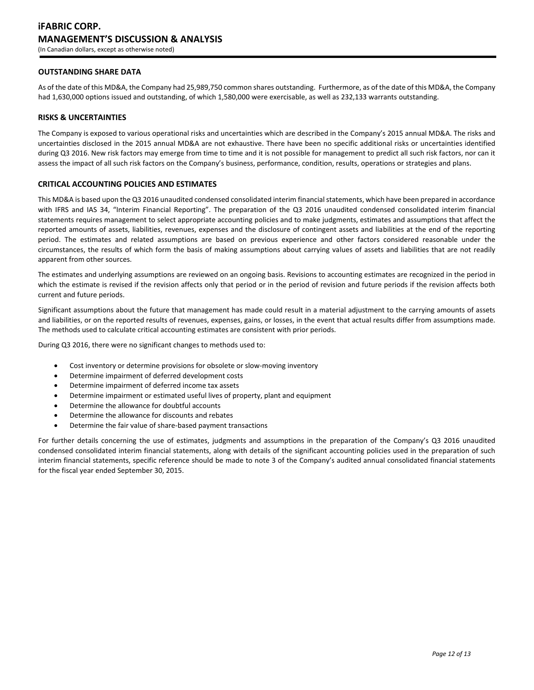# **OUTSTANDING SHARE DATA**

As of the date of this MD&A, the Company had 25,989,750 common shares outstanding. Furthermore, as of the date of this MD&A, the Company had 1,630,000 options issued and outstanding, of which 1,580,000 were exercisable, as well as 232,133 warrants outstanding.

#### **RISKS & UNCERTAINTIES**

The Company is exposed to various operational risks and uncertainties which are described in the Company's 2015 annual MD&A. The risks and uncertainties disclosed in the 2015 annual MD&A are not exhaustive. There have been no specific additional risks or uncertainties identified during Q3 2016. New risk factors may emerge from time to time and it is not possible for management to predict all such risk factors, nor can it assess the impact of all such risk factors on the Company's business, performance, condition, results, operations or strategies and plans.

#### **CRITICAL ACCOUNTING POLICIES AND ESTIMATES**

This MD&A is based upon the Q3 2016 unaudited condensed consolidated interim financial statements, which have been prepared in accordance with IFRS and IAS 34, "Interim Financial Reporting". The preparation of the Q3 2016 unaudited condensed consolidated interim financial statements requires management to select appropriate accounting policies and to make judgments, estimates and assumptions that affect the reported amounts of assets, liabilities, revenues, expenses and the disclosure of contingent assets and liabilities at the end of the reporting period. The estimates and related assumptions are based on previous experience and other factors considered reasonable under the circumstances, the results of which form the basis of making assumptions about carrying values of assets and liabilities that are not readily apparent from other sources.

The estimates and underlying assumptions are reviewed on an ongoing basis. Revisions to accounting estimates are recognized in the period in which the estimate is revised if the revision affects only that period or in the period of revision and future periods if the revision affects both current and future periods.

Significant assumptions about the future that management has made could result in a material adjustment to the carrying amounts of assets and liabilities, or on the reported results of revenues, expenses, gains, or losses, in the event that actual results differ from assumptions made. The methods used to calculate critical accounting estimates are consistent with prior periods.

During Q3 2016, there were no significant changes to methods used to:

- Cost inventory or determine provisions for obsolete or slow-moving inventory
- Determine impairment of deferred development costs
- Determine impairment of deferred income tax assets
- Determine impairment or estimated useful lives of property, plant and equipment
- Determine the allowance for doubtful accounts
- Determine the allowance for discounts and rebates
- Determine the fair value of share-based payment transactions

For further details concerning the use of estimates, judgments and assumptions in the preparation of the Company's Q3 2016 unaudited condensed consolidated interim financial statements, along with details of the significant accounting policies used in the preparation of such interim financial statements, specific reference should be made to note 3 of the Company's audited annual consolidated financial statements for the fiscal year ended September 30, 2015.